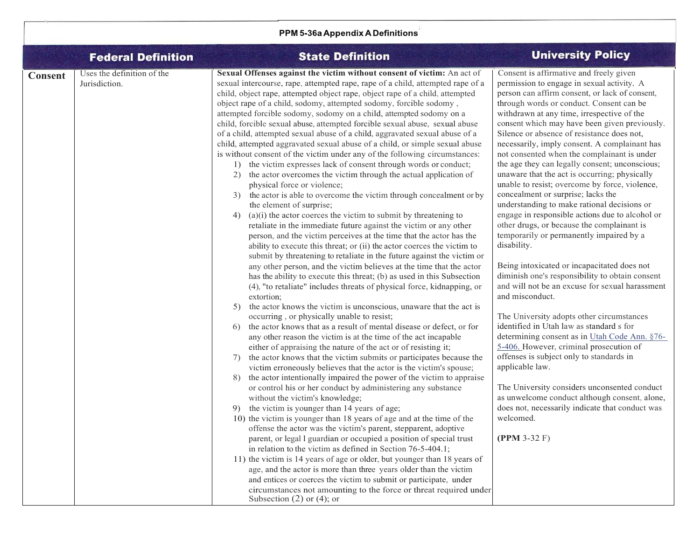| PPM 5-36a Appendix A Definitions |                                             |                                                                                                                                                                                                                                                                                                                                                                                                                                                                                                                                                                                                                                                                                                                                                                                                                                                                                                                                                                                                                                                                                                                                                                                                                                                                                                                                                                                                                                                                                                                                                                                                                                                                                                                                                                                                                                                                                                                                                                                                                                                                                                                                                                                                                                                                                                                                                                                                                                                                                                                                                                                                                                                                                                                                                                                                                                                                                                                                                                              |                                                                                                                                                                                                                                                                                                                                                                                                                                                                                                                                                                                                                                                                                                                                                                                                                                                                                                                                                                                                                                                                                                                                                                                                                                                                                                                                                                                                                                                       |
|----------------------------------|---------------------------------------------|------------------------------------------------------------------------------------------------------------------------------------------------------------------------------------------------------------------------------------------------------------------------------------------------------------------------------------------------------------------------------------------------------------------------------------------------------------------------------------------------------------------------------------------------------------------------------------------------------------------------------------------------------------------------------------------------------------------------------------------------------------------------------------------------------------------------------------------------------------------------------------------------------------------------------------------------------------------------------------------------------------------------------------------------------------------------------------------------------------------------------------------------------------------------------------------------------------------------------------------------------------------------------------------------------------------------------------------------------------------------------------------------------------------------------------------------------------------------------------------------------------------------------------------------------------------------------------------------------------------------------------------------------------------------------------------------------------------------------------------------------------------------------------------------------------------------------------------------------------------------------------------------------------------------------------------------------------------------------------------------------------------------------------------------------------------------------------------------------------------------------------------------------------------------------------------------------------------------------------------------------------------------------------------------------------------------------------------------------------------------------------------------------------------------------------------------------------------------------------------------------------------------------------------------------------------------------------------------------------------------------------------------------------------------------------------------------------------------------------------------------------------------------------------------------------------------------------------------------------------------------------------------------------------------------------------------------------------------------|-------------------------------------------------------------------------------------------------------------------------------------------------------------------------------------------------------------------------------------------------------------------------------------------------------------------------------------------------------------------------------------------------------------------------------------------------------------------------------------------------------------------------------------------------------------------------------------------------------------------------------------------------------------------------------------------------------------------------------------------------------------------------------------------------------------------------------------------------------------------------------------------------------------------------------------------------------------------------------------------------------------------------------------------------------------------------------------------------------------------------------------------------------------------------------------------------------------------------------------------------------------------------------------------------------------------------------------------------------------------------------------------------------------------------------------------------------|
|                                  | <b>Federal Definition</b>                   | <b>State Definition</b>                                                                                                                                                                                                                                                                                                                                                                                                                                                                                                                                                                                                                                                                                                                                                                                                                                                                                                                                                                                                                                                                                                                                                                                                                                                                                                                                                                                                                                                                                                                                                                                                                                                                                                                                                                                                                                                                                                                                                                                                                                                                                                                                                                                                                                                                                                                                                                                                                                                                                                                                                                                                                                                                                                                                                                                                                                                                                                                                                      | <b>University Policy</b>                                                                                                                                                                                                                                                                                                                                                                                                                                                                                                                                                                                                                                                                                                                                                                                                                                                                                                                                                                                                                                                                                                                                                                                                                                                                                                                                                                                                                              |
| <b>Consent</b>                   | Uses the definition of the<br>Jurisdiction. | Sexual Offenses against the victim without consent of victim: An act of<br>sexual intercourse, rape, attempted rape, rape of a child, attempted rape of a<br>child, object rape, attempted object rape, object rape of a child, attempted<br>object rape of a child, sodomy, attempted sodomy, forcible sodomy,<br>attempted forcible sodomy, sodomy on a child, attempted sodomy on a<br>child, forcible sexual abuse, attempted forcible sexual abuse, sexual abuse<br>of a child, attempted sexual abuse of a child, aggravated sexual abuse of a<br>child, attempted aggravated sexual abuse of a child, or simple sexual abuse<br>is without consent of the victim under any of the following circumstances:<br>1) the victim expresses lack of consent through words or conduct;<br>the actor overcomes the victim through the actual application of<br>2)<br>physical force or violence;<br>the actor is able to overcome the victim through concealment or by<br>3)<br>the element of surprise;<br>$(a)(i)$ the actor coerces the victim to submit by threatening to<br>4)<br>retaliate in the immediate future against the victim or any other<br>person, and the victim perceives at the time that the actor has the<br>ability to execute this threat; or (ii) the actor coerces the victim to<br>submit by threatening to retaliate in the future against the victim or<br>any other person, and the victim believes at the time that the actor<br>has the ability to execute this threat; (b) as used in this Subsection<br>(4), "to retaliate" includes threats of physical force, kidnapping, or<br>extortion;<br>the actor knows the victim is unconscious, unaware that the act is<br>5)<br>occurring, or physically unable to resist;<br>the actor knows that as a result of mental disease or defect, or for<br>6)<br>any other reason the victim is at the time of the act incapable<br>either of appraising the nature of the act or of resisting it;<br>the actor knows that the victim submits or participates because the<br>7)<br>victim erroneously believes that the actor is the victim's spouse;<br>the actor intentionally impaired the power of the victim to appraise<br>8)<br>or control his or her conduct by administering any substance<br>without the victim's knowledge;<br>the victim is younger than 14 years of age;<br>10) the victim is younger than 18 years of age and at the time of the<br>offense the actor was the victim's parent, stepparent, adoptive<br>parent, or legal I guardian or occupied a position of special trust<br>in relation to the victim as defined in Section 76-5-404.1;<br>11) the victim is 14 years of age or older, but younger than 18 years of<br>age, and the actor is more than three years older than the victim<br>and entices or coerces the victim to submit or participate, under<br>circumstances not amounting to the force or threat required under<br>Subsection $(2)$ or $(4)$ ; or | Consent is affirmative and freely given<br>permission to engage in sexual activity. A<br>person can affirm consent, or lack of consent,<br>through words or conduct. Consent can be<br>withdrawn at any time, irrespective of the<br>consent which may have been given previously.<br>Silence or absence of resistance does not,<br>necessarily, imply consent. A complainant has<br>not consented when the complainant is under<br>the age they can legally consent; unconscious;<br>unaware that the act is occurring; physically<br>unable to resist; overcome by force, violence,<br>concealment or surprise; lacks the<br>understanding to make rational decisions or<br>engage in responsible actions due to alcohol or<br>other drugs, or because the complainant is<br>temporarily or permanently impaired by a<br>disability.<br>Being intoxicated or incapacitated does not<br>diminish one's responsibility to obtain consent<br>and will not be an excuse for sexual harassment<br>and misconduct.<br>The University adopts other circumstances<br>identified in Utah law as standard s for<br>determining consent as in Utah Code Ann. §76-<br>5-406. However, criminal prosecution of<br>offenses is subject only to standards in<br>applicable law.<br>The University considers unconsented conduct<br>as unwelcome conduct although consent, alone,<br>does not, necessarily indicate that conduct was<br>welcomed.<br>$(PPM 3-32 F)$ |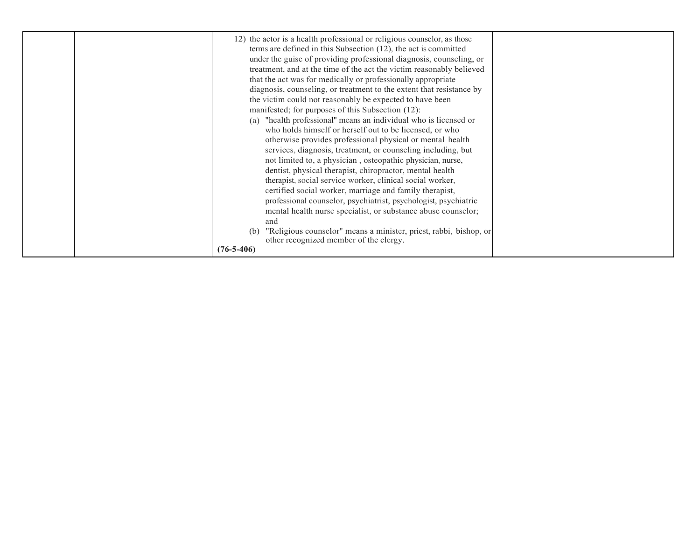| 12) the actor is a health professional or religious counselor, as those<br>terms are defined in this Subsection $(12)$ , the act is committed<br>under the guise of providing professional diagnosis, counseling, or<br>treatment, and at the time of the act the victim reasonably believed<br>that the act was for medically or professionally appropriate<br>diagnosis, counseling, or treatment to the extent that resistance by<br>the victim could not reasonably be expected to have been<br>manifested; for purposes of this Subsection (12):<br>(a) "health professional" means an individual who is licensed or<br>who holds himself or herself out to be licensed, or who<br>otherwise provides professional physical or mental health<br>services, diagnosis, treatment, or counseling including, but<br>not limited to, a physician, osteopathic physician, nurse, |
|---------------------------------------------------------------------------------------------------------------------------------------------------------------------------------------------------------------------------------------------------------------------------------------------------------------------------------------------------------------------------------------------------------------------------------------------------------------------------------------------------------------------------------------------------------------------------------------------------------------------------------------------------------------------------------------------------------------------------------------------------------------------------------------------------------------------------------------------------------------------------------|
| dentist, physical therapist, chiropractor, mental health                                                                                                                                                                                                                                                                                                                                                                                                                                                                                                                                                                                                                                                                                                                                                                                                                        |
| therapist, social service worker, clinical social worker,<br>certified social worker, marriage and family therapist,                                                                                                                                                                                                                                                                                                                                                                                                                                                                                                                                                                                                                                                                                                                                                            |
| professional counselor, psychiatrist, psychologist, psychiatric<br>mental health nurse specialist, or substance abuse counselor;                                                                                                                                                                                                                                                                                                                                                                                                                                                                                                                                                                                                                                                                                                                                                |
| and<br>"Religious counselor" means a minister, priest, rabbi, bishop, or<br>(b)<br>other recognized member of the clergy.                                                                                                                                                                                                                                                                                                                                                                                                                                                                                                                                                                                                                                                                                                                                                       |
| $(76 - 5 - 406)$                                                                                                                                                                                                                                                                                                                                                                                                                                                                                                                                                                                                                                                                                                                                                                                                                                                                |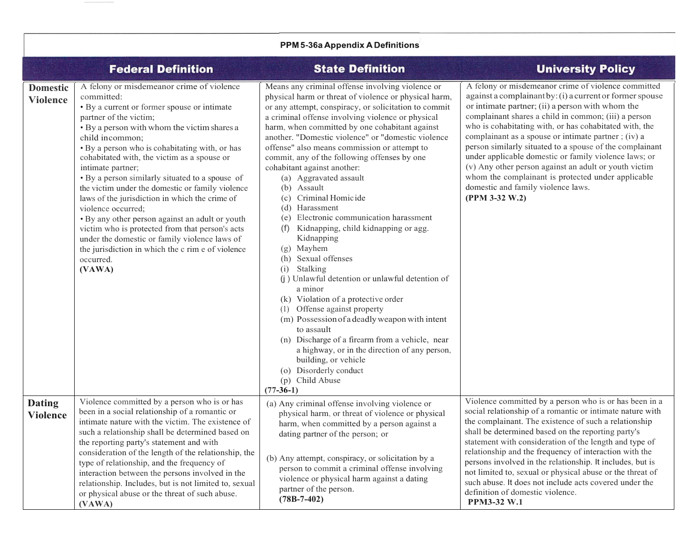| <b>PPM 5-36a Appendix A Definitions</b> |                                                                                                                                                                                                                                                                                                                                                                                                                                                                                                                                                                                                                                                                                                                                            |                                                                                                                                                                                                                                                                                                                                                                                                                                                                                                                                                                                                                                                                                                                                                                                                                                                                                                                                                                                                                                                                                                                |                                                                                                                                                                                                                                                                                                                                                                                                                                                                                                                                                                                                                                          |
|-----------------------------------------|--------------------------------------------------------------------------------------------------------------------------------------------------------------------------------------------------------------------------------------------------------------------------------------------------------------------------------------------------------------------------------------------------------------------------------------------------------------------------------------------------------------------------------------------------------------------------------------------------------------------------------------------------------------------------------------------------------------------------------------------|----------------------------------------------------------------------------------------------------------------------------------------------------------------------------------------------------------------------------------------------------------------------------------------------------------------------------------------------------------------------------------------------------------------------------------------------------------------------------------------------------------------------------------------------------------------------------------------------------------------------------------------------------------------------------------------------------------------------------------------------------------------------------------------------------------------------------------------------------------------------------------------------------------------------------------------------------------------------------------------------------------------------------------------------------------------------------------------------------------------|------------------------------------------------------------------------------------------------------------------------------------------------------------------------------------------------------------------------------------------------------------------------------------------------------------------------------------------------------------------------------------------------------------------------------------------------------------------------------------------------------------------------------------------------------------------------------------------------------------------------------------------|
|                                         | <b>Federal Definition</b>                                                                                                                                                                                                                                                                                                                                                                                                                                                                                                                                                                                                                                                                                                                  | <b>State Definition</b>                                                                                                                                                                                                                                                                                                                                                                                                                                                                                                                                                                                                                                                                                                                                                                                                                                                                                                                                                                                                                                                                                        | <b>University Policy</b>                                                                                                                                                                                                                                                                                                                                                                                                                                                                                                                                                                                                                 |
| <b>Domestic</b><br><b>Violence</b>      | A felony or misdemeanor crime of violence<br>committed:<br>· By a current or former spouse or intimate<br>partner of the victim;<br>• By a person with whom the victim shares a<br>child incommon;<br>• By a person who is cohabitating with, or has<br>cohabitated with, the victim as a spouse or<br>intimate partner;<br>• By a person similarly situated to a spouse of<br>the victim under the domestic or family violence<br>laws of the jurisdiction in which the crime of<br>violence occurred;<br>· By any other person against an adult or youth<br>victim who is protected from that person's acts<br>under the domestic or family violence laws of<br>the jurisdiction in which the c rim e of violence<br>occurred.<br>(VAWA) | Means any criminal offense involving violence or<br>physical harm or threat of violence or physical harm,<br>or any attempt, conspiracy, or solicitation to commit<br>a criminal offense involving violence or physical<br>harm, when committed by one cohabitant against<br>another. "Domestic violence" or "domestic violence<br>offense" also means commission or attempt to<br>commit, any of the following offenses by one<br>cohabitant against another:<br>(a) Aggravated assault<br>(b) Assault<br>(c) Criminal Homicide<br>(d) Harassment<br>(e) Electronic communication harassment<br>Kidnapping, child kidnapping or agg.<br>(f)<br>Kidnapping<br>(g) Mayhem<br>(h) Sexual offenses<br>(i) Stalking<br>(j) Unlawful detention or unlawful detention of<br>a minor<br>(k) Violation of a protective order<br>Offense against property<br>(1)<br>(m) Possession of a deadly weapon with intent<br>to assault<br>(n) Discharge of a firearm from a vehicle, near<br>a highway, or in the direction of any person,<br>building, or vehicle<br>(o) Disorderly conduct<br>(p) Child Abuse<br>$(77-36-1)$ | A felony or misdemeanor crime of violence committed<br>against a complainant by: (i) a current or former spouse<br>or intimate partner; (ii) a person with whom the<br>complainant shares a child in common; (iii) a person<br>who is cohabitating with, or has cohabitated with, the<br>complainant as a spouse or intimate partner; (iv) a<br>person similarly situated to a spouse of the complainant<br>under applicable domestic or family violence laws; or<br>(v) Any other person against an adult or youth victim<br>whom the complainant is protected under applicable<br>domestic and family violence laws.<br>(PPM 3-32 W.2) |
| <b>Dating</b><br><b>Violence</b>        | Violence committed by a person who is or has<br>been in a social relationship of a romantic or<br>intimate nature with the victim. The existence of<br>such a relationship shall be determined based on<br>the reporting party's statement and with<br>consideration of the length of the relationship, the<br>type of relationship, and the frequency of<br>interaction between the persons involved in the<br>relationship. Includes, but is not limited to, sexual<br>or physical abuse or the threat of such abuse.<br>(VAWA)                                                                                                                                                                                                          | (a) Any criminal offense involving violence or<br>physical harm, or threat of violence or physical<br>harm, when committed by a person against a<br>dating partner of the person; or<br>(b) Any attempt, conspiracy, or solicitation by a<br>person to commit a criminal offense involving<br>violence or physical harm against a dating<br>partner of the person.<br>$(78B-7-402)$                                                                                                                                                                                                                                                                                                                                                                                                                                                                                                                                                                                                                                                                                                                            | Violence committed by a person who is or has been in a<br>social relationship of a romantic or intimate nature with<br>the complainant. The existence of such a relationship<br>shall be determined based on the reporting party's<br>statement with consideration of the length and type of<br>relationship and the frequency of interaction with the<br>persons involved in the relationship. It includes, but is<br>not limited to, sexual or physical abuse or the threat of<br>such abuse. It does not include acts covered under the<br>definition of domestic violence.<br>PPM3-32 W.1                                            |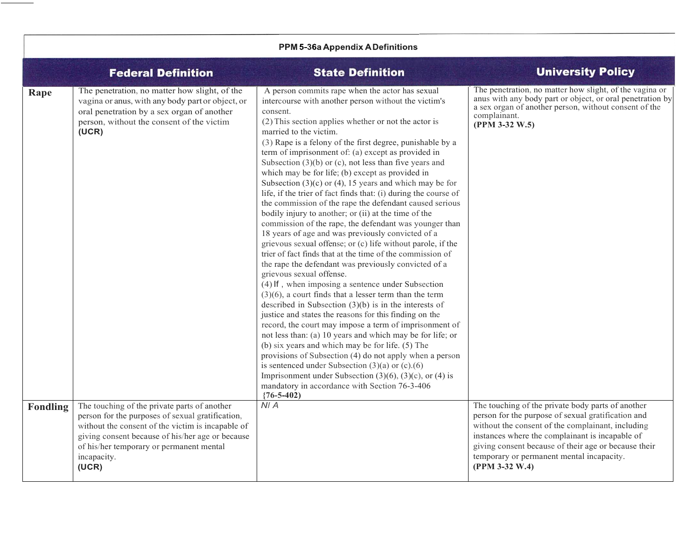| PPM 5-36a Appendix A Definitions |                                                                                                                                                                                                                                                                               |                                                                                                                                                                                                                                                                                                                                                                                                                                                                                                                                                                                                                                                                                                                                                                                                                                                                                                                                                                                                                                                                                                                                                                                                                                                                                                                                                                                                                                                                                                                                                                                                                                                                                                                |                                                                                                                                                                                                                                                                                                                                        |
|----------------------------------|-------------------------------------------------------------------------------------------------------------------------------------------------------------------------------------------------------------------------------------------------------------------------------|----------------------------------------------------------------------------------------------------------------------------------------------------------------------------------------------------------------------------------------------------------------------------------------------------------------------------------------------------------------------------------------------------------------------------------------------------------------------------------------------------------------------------------------------------------------------------------------------------------------------------------------------------------------------------------------------------------------------------------------------------------------------------------------------------------------------------------------------------------------------------------------------------------------------------------------------------------------------------------------------------------------------------------------------------------------------------------------------------------------------------------------------------------------------------------------------------------------------------------------------------------------------------------------------------------------------------------------------------------------------------------------------------------------------------------------------------------------------------------------------------------------------------------------------------------------------------------------------------------------------------------------------------------------------------------------------------------------|----------------------------------------------------------------------------------------------------------------------------------------------------------------------------------------------------------------------------------------------------------------------------------------------------------------------------------------|
|                                  | <b>Federal Definition</b>                                                                                                                                                                                                                                                     | <b>State Definition</b>                                                                                                                                                                                                                                                                                                                                                                                                                                                                                                                                                                                                                                                                                                                                                                                                                                                                                                                                                                                                                                                                                                                                                                                                                                                                                                                                                                                                                                                                                                                                                                                                                                                                                        | <b>University Policy</b>                                                                                                                                                                                                                                                                                                               |
| Rape                             | The penetration, no matter how slight, of the<br>vagina or anus, with any body part or object, or<br>oral penetration by a sex organ of another<br>person, without the consent of the victim<br>(UCR)                                                                         | A person commits rape when the actor has sexual<br>intercourse with another person without the victim's<br>consent.<br>(2) This section applies whether or not the actor is<br>married to the victim.<br>(3) Rape is a felony of the first degree, punishable by a<br>term of imprisonment of: (a) except as provided in<br>Subsection $(3)(b)$ or $(c)$ , not less than five years and<br>which may be for life; (b) except as provided in<br>Subsection $(3)(c)$ or $(4)$ , 15 years and which may be for<br>life, if the trier of fact finds that: (i) during the course of<br>the commission of the rape the defendant caused serious<br>bodily injury to another; or (ii) at the time of the<br>commission of the rape, the defendant was younger than<br>18 years of age and was previously convicted of a<br>grievous sexual offense; or (c) life without parole, if the<br>trier of fact finds that at the time of the commission of<br>the rape the defendant was previously convicted of a<br>grievous sexual offense.<br>$(4)$ If, when imposing a sentence under Subsection<br>$(3)(6)$ , a court finds that a lesser term than the term<br>described in Subsection $(3)(b)$ is in the interests of<br>justice and states the reasons for this finding on the<br>record, the court may impose a term of imprisonment of<br>not less than: (a) 10 years and which may be for life; or<br>(b) six years and which may be for life. (5) The<br>provisions of Subsection (4) do not apply when a person<br>is sentenced under Subsection $(3)(a)$ or $(c)$ . $(6)$<br>Imprisonment under Subsection $(3)(6)$ , $(3)(c)$ , or $(4)$ is<br>mandatory in accordance with Section 76-3-406<br>$(76-5-402)$ | The penetration, no matter how slight, of the vagina or<br>anus with any body part or object, or oral penetration by<br>a sex organ of another person, without consent of the<br>complainant.<br>(PPM 3-32 W.5)                                                                                                                        |
| Fondling                         | The touching of the private parts of another<br>person for the purposes of sexual gratification,<br>without the consent of the victim is incapable of<br>giving consent because of his/her age or because<br>of his/her temporary or permanent mental<br>incapacity.<br>(UCR) | N/A                                                                                                                                                                                                                                                                                                                                                                                                                                                                                                                                                                                                                                                                                                                                                                                                                                                                                                                                                                                                                                                                                                                                                                                                                                                                                                                                                                                                                                                                                                                                                                                                                                                                                                            | The touching of the private body parts of another<br>person for the purpose of sexual gratification and<br>without the consent of the complainant, including<br>instances where the complainant is incapable of<br>giving consent because of their age or because their<br>temporary or permanent mental incapacity.<br>(PPM 3-32 W.4) |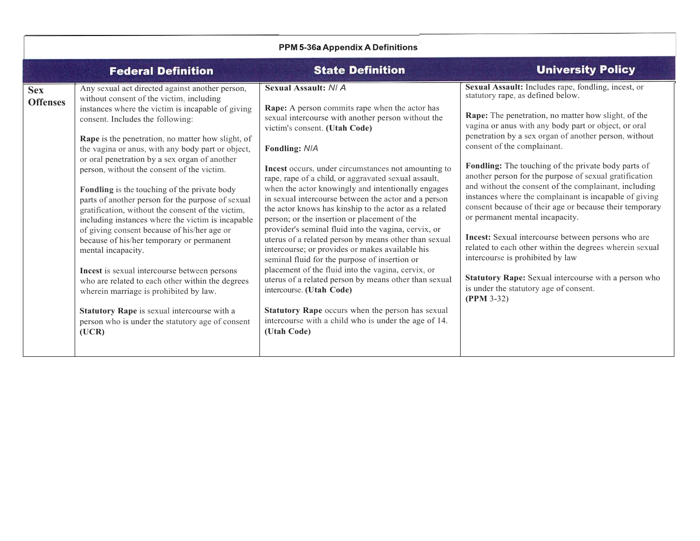| PPM 5-36a Appendix A Definitions |                                                                                                                                                                                                                                                                                                                                                                                                                                                                                                                                                                                                                                                                                                                                                                                                                                                                                                                                                                                          |                                                                                                                                                                                                                                                                                                                                                                                                                                                                                                                                                                                                                                                                                                                                                                                                                                                                                                                                                                                                                       |                                                                                                                                                                                                                                                                                                                                                                                                                                                                                                                                                                                                                                                                                                                                                                                                                                                                                                          |
|----------------------------------|------------------------------------------------------------------------------------------------------------------------------------------------------------------------------------------------------------------------------------------------------------------------------------------------------------------------------------------------------------------------------------------------------------------------------------------------------------------------------------------------------------------------------------------------------------------------------------------------------------------------------------------------------------------------------------------------------------------------------------------------------------------------------------------------------------------------------------------------------------------------------------------------------------------------------------------------------------------------------------------|-----------------------------------------------------------------------------------------------------------------------------------------------------------------------------------------------------------------------------------------------------------------------------------------------------------------------------------------------------------------------------------------------------------------------------------------------------------------------------------------------------------------------------------------------------------------------------------------------------------------------------------------------------------------------------------------------------------------------------------------------------------------------------------------------------------------------------------------------------------------------------------------------------------------------------------------------------------------------------------------------------------------------|----------------------------------------------------------------------------------------------------------------------------------------------------------------------------------------------------------------------------------------------------------------------------------------------------------------------------------------------------------------------------------------------------------------------------------------------------------------------------------------------------------------------------------------------------------------------------------------------------------------------------------------------------------------------------------------------------------------------------------------------------------------------------------------------------------------------------------------------------------------------------------------------------------|
|                                  | <b>Federal Definition</b>                                                                                                                                                                                                                                                                                                                                                                                                                                                                                                                                                                                                                                                                                                                                                                                                                                                                                                                                                                | <b>State Definition</b>                                                                                                                                                                                                                                                                                                                                                                                                                                                                                                                                                                                                                                                                                                                                                                                                                                                                                                                                                                                               | <b>University Policy</b>                                                                                                                                                                                                                                                                                                                                                                                                                                                                                                                                                                                                                                                                                                                                                                                                                                                                                 |
| <b>Sex</b><br><b>Offenses</b>    | Any sexual act directed against another person,<br>without consent of the victim, including<br>instances where the victim is incapable of giving<br>consent. Includes the following:<br>Rape is the penetration, no matter how slight, of<br>the vagina or anus, with any body part or object,<br>or oral penetration by a sex organ of another<br>person, without the consent of the victim.<br>Fondling is the touching of the private body<br>parts of another person for the purpose of sexual<br>gratification, without the consent of the victim,<br>including instances where the victim is incapable<br>of giving consent because of his/her age or<br>because of his/her temporary or permanent<br>mental incapacity.<br>Incest is sexual intercourse between persons<br>who are related to each other within the degrees<br>wherein marriage is prohibited by law.<br>Statutory Rape is sexual intercourse with a<br>person who is under the statutory age of consent<br>(UCR) | <b>Sexual Assault: N/A</b><br>Rape: A person commits rape when the actor has<br>sexual intercourse with another person without the<br>victim's consent. (Utah Code)<br>Fondling: N/A<br>Incest occurs, under circumstances not amounting to<br>rape, rape of a child, or aggravated sexual assault,<br>when the actor knowingly and intentionally engages<br>in sexual intercourse between the actor and a person<br>the actor knows has kinship to the actor as a related<br>person; or the insertion or placement of the<br>provider's seminal fluid into the vagina, cervix, or<br>uterus of a related person by means other than sexual<br>intercourse; or provides or makes available his<br>seminal fluid for the purpose of insertion or<br>placement of the fluid into the vagina, cervix, or<br>uterus of a related person by means other than sexual<br>intercourse. (Utah Code)<br>Statutory Rape occurs when the person has sexual<br>intercourse with a child who is under the age of 14.<br>(Utah Code) | Sexual Assault: Includes rape, fondling, incest, or<br>statutory rape, as defined below.<br>Rape: The penetration, no matter how slight, of the<br>vagina or anus with any body part or object, or oral<br>penetration by a sex organ of another person, without<br>consent of the complainant.<br>Fondling: The touching of the private body parts of<br>another person for the purpose of sexual gratification<br>and without the consent of the complainant, including<br>instances where the complainant is incapable of giving<br>consent because of their age or because their temporary<br>or permanent mental incapacity.<br>Incest: Sexual intercourse between persons who are<br>related to each other within the degrees wherein sexual<br>intercourse is prohibited by law<br>Statutory Rape: Sexual intercourse with a person who<br>is under the statutory age of consent.<br>$(PPM 3-32)$ |